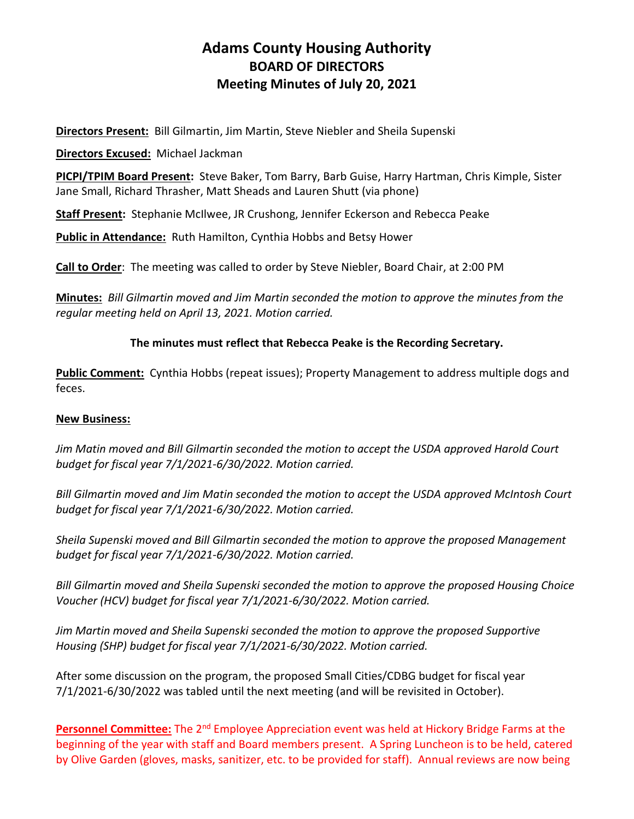# **Adams County Housing Authority BOARD OF DIRECTORS Meeting Minutes of July 20, 2021**

**Directors Present:** Bill Gilmartin, Jim Martin, Steve Niebler and Sheila Supenski

**Directors Excused:** Michael Jackman

**PICPI/TPIM Board Present:** Steve Baker, Tom Barry, Barb Guise, Harry Hartman, Chris Kimple, Sister Jane Small, Richard Thrasher, Matt Sheads and Lauren Shutt (via phone)

**Staff Present:** Stephanie McIlwee, JR Crushong, Jennifer Eckerson and Rebecca Peake

**Public in Attendance:** Ruth Hamilton, Cynthia Hobbs and Betsy Hower

**Call to Order**: The meeting was called to order by Steve Niebler, Board Chair, at 2:00 PM

**Minutes:** *Bill Gilmartin moved and Jim Martin seconded the motion to approve the minutes from the regular meeting held on April 13, 2021. Motion carried.*

#### **The minutes must reflect that Rebecca Peake is the Recording Secretary.**

**Public Comment:** Cynthia Hobbs (repeat issues); Property Management to address multiple dogs and feces.

#### **New Business:**

*Jim Matin moved and Bill Gilmartin seconded the motion to accept the USDA approved Harold Court budget for fiscal year 7/1/2021-6/30/2022. Motion carried.*

*Bill Gilmartin moved and Jim Matin seconded the motion to accept the USDA approved McIntosh Court budget for fiscal year 7/1/2021-6/30/2022. Motion carried.*

*Sheila Supenski moved and Bill Gilmartin seconded the motion to approve the proposed Management budget for fiscal year 7/1/2021-6/30/2022. Motion carried.*

*Bill Gilmartin moved and Sheila Supenski seconded the motion to approve the proposed Housing Choice Voucher (HCV) budget for fiscal year 7/1/2021-6/30/2022. Motion carried.*

*Jim Martin moved and Sheila Supenski seconded the motion to approve the proposed Supportive Housing (SHP) budget for fiscal year 7/1/2021-6/30/2022. Motion carried.*

After some discussion on the program, the proposed Small Cities/CDBG budget for fiscal year 7/1/2021-6/30/2022 was tabled until the next meeting (and will be revisited in October).

**Personnel Committee:** The 2<sup>nd</sup> Employee Appreciation event was held at Hickory Bridge Farms at the beginning of the year with staff and Board members present. A Spring Luncheon is to be held, catered by Olive Garden (gloves, masks, sanitizer, etc. to be provided for staff). Annual reviews are now being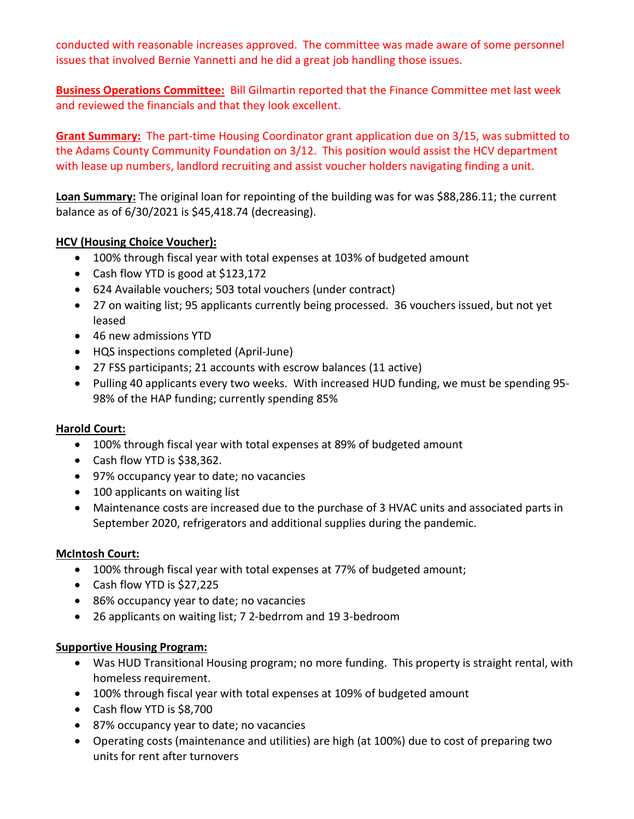conducted with reasonable increases approved. The committee was made aware of some personnel issues that involved Bernie Yannetti and he did a great job handling those issues.

**Business Operations Committee:** Bill Gilmartin reported that the Finance Committee met last week and reviewed the financials and that they look excellent.

**Grant Summary:** The part-time Housing Coordinator grant application due on 3/15, was submitted to the Adams County Community Foundation on 3/12. This position would assist the HCV department with lease up numbers, landlord recruiting and assist voucher holders navigating finding a unit.

**Loan Summary:** The original loan for repointing of the building was for was \$88,286.11; the current balance as of 6/30/2021 is \$45,418.74 (decreasing).

## **HCV (Housing Choice Voucher):**

- 100% through fiscal year with total expenses at 103% of budgeted amount
- Cash flow YTD is good at \$123,172
- 624 Available vouchers; 503 total vouchers (under contract)
- 27 on waiting list; 95 applicants currently being processed. 36 vouchers issued, but not yet leased
- 46 new admissions YTD
- HQS inspections completed (April-June)
- 27 FSS participants; 21 accounts with escrow balances (11 active)
- Pulling 40 applicants every two weeks. With increased HUD funding, we must be spending 95- 98% of the HAP funding; currently spending 85%

## **Harold Court:**

- 100% through fiscal year with total expenses at 89% of budgeted amount
- Cash flow YTD is \$38,362.
- 97% occupancy year to date; no vacancies
- 100 applicants on waiting list
- Maintenance costs are increased due to the purchase of 3 HVAC units and associated parts in September 2020, refrigerators and additional supplies during the pandemic.

## **McIntosh Court:**

- 100% through fiscal year with total expenses at 77% of budgeted amount;
- Cash flow YTD is \$27,225
- 86% occupancy year to date; no vacancies
- 26 applicants on waiting list; 7 2-bedrrom and 19 3-bedroom

## **Supportive Housing Program:**

- Was HUD Transitional Housing program; no more funding. This property is straight rental, with homeless requirement.
- 100% through fiscal year with total expenses at 109% of budgeted amount
- Cash flow YTD is \$8,700
- 87% occupancy year to date; no vacancies
- Operating costs (maintenance and utilities) are high (at 100%) due to cost of preparing two units for rent after turnovers